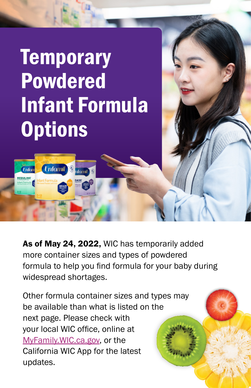## **Temporary** Powdered Infant Formula **Options**

ifomil

**Enfomil** 

**Enfon** 

REGULI

As of May 24, 2022, WIC has temporarily added more container sizes and types of powdered formula to help you find formula for your baby during widespread shortages.

Other formula container sizes and types may be available than what is listed on the next page. Please check with your local WIC office, online at [MyFamily.WIC.ca.gov](http://MyFamily.WIC.ca.gov), or the California WIC App for the latest updates.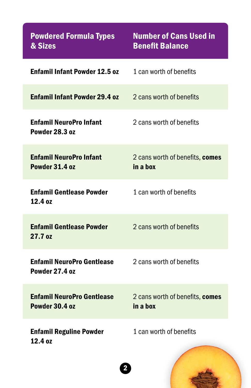| <b>Powdered Formula Types</b><br>& Sizes             | <b>Number of Cans Used in</b><br><b>Benefit Balance</b> |
|------------------------------------------------------|---------------------------------------------------------|
| Enfamil Infant Powder 12.5 oz                        | 1 can worth of benefits                                 |
| <b>Enfamil Infant Powder 29.4 oz</b>                 | 2 cans worth of benefits                                |
| <b>Enfamil NeuroPro Infant</b><br>Powder 28.3 oz     | 2 cans worth of benefits                                |
| <b>Enfamil NeuroPro Infant</b><br>Powder 31.4 oz     | 2 cans worth of benefits, comes<br>in a box             |
| <b>Enfamil Gentlease Powder</b><br>12.4 oz           | 1 can worth of benefits                                 |
| <b>Enfamil Gentlease Powder</b><br>27.7 oz           | 2 cans worth of benefits                                |
| <b>Enfamil NeuroPro Gentlease</b><br>Powder 27.4 oz  | 2 cans worth of benefits                                |
| <b>Enfamil NeuroPro Gentlease</b><br>Powder 30.4 oz  | 2 cans worth of benefits, comes<br>in a box             |
| <b>Enfamil Reguline Powder</b><br>12.4 <sub>07</sub> | 1 can worth of benefits                                 |

2

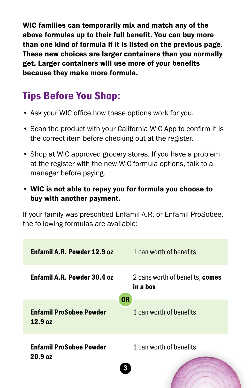WIC families can temporarily mix and match any of the above formulas up to their full benefit. You can buy more than one kind of formula if it is listed on the previous page. These new choices are larger containers than you normally get. Larger containers will use more of your benefits because they make more formula.

## Tips Before You Shop:

- Ask your WIC office how these options work for you.
- Scan the product with your California WIC App to confirm it is the correct item before checking out at the register.
- Shop at WIC approved grocery stores. If you have a problem at the register with the new WIC formula options, talk to a manager before paying.
- WIC is not able to repay you for formula you choose to buy with another payment.

If your family was prescribed Enfamil A.R. or Enfamil ProSobee, the following formulas are available: